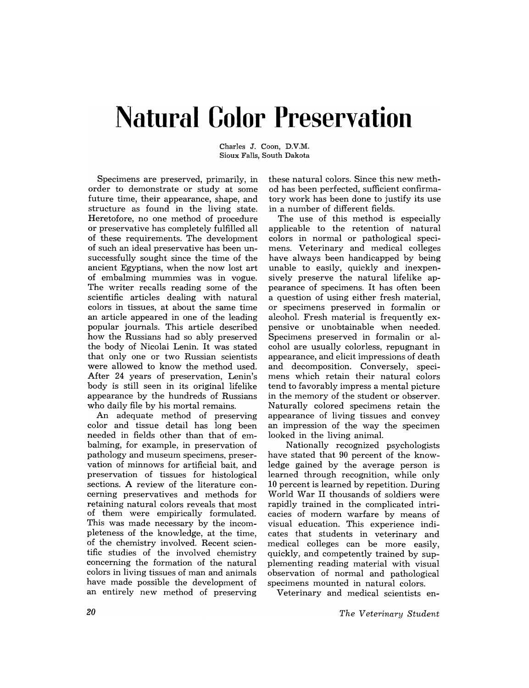# **Natural Color Preservation**

Charles J. Coon, D.v.M. Sioux Falls, South Dakota

Specimens are preserved, primarily, in order to demonstrate or study at some future time, their appearance, shape, and structure as found in the living state. Heretofore, no one method of procedure or preservative has completely fulfilled all of these requirements. The development of such an ideal preservative has been unsuccessfully sought since the time of the ancient Egyptians, when the now lost art of embalming mummies was in vogue. The writer recalls reading some of the scientific articles dealing with natural colors in tissues, at about the same time an article appeared in one of the leading popular journals. This article described how the Russians had so ably preserved the body of Nicolai Lenin. It was stated that only one or two Russian scientists were allowed to know the method used. After 24 years of preservation, Lenin's body is still seen in its original lifelike appearance by the hundreds of Russians who daily file by his mortal remains.

An adequate method of preserving color and tissue detail has long been needed in fields other than that of embalming, for example, in preservation of pathology and museum specimens, preservation of minnows for artificial bait, and preservation of tissues for histological sections. A review of the literature concerning preservatives and methods for retaining natural colors reveals that most of them were empirically formulated. This was made necessary by the incompleteness of the knowledge, at the time, of the chemistry involved. Recent scientific studies of the involved chemistry concerning the formation of the natural colors in living tissues of man and animals have made possible the development of an entirely new method of preserving

these natural colors. Since this new method has been perfected, sufficient confirmatory work has been done to justify its use in a number of different fields.

The use of this method is especially applicable to the retention of natural colors in normal or pathological specimens. Veterinary and medical colleges have always been handicapped by being unable to easily, quickly and inexpensively preserve the natural lifelike appearance of specimens. It has often been a question of using either fresh material, or specimens preserved in formalin or alcohol. Fresh material is frequently expensive or unobtainable when needed. Specimens preserved in formalin or alcohol are usually colorless, repugnant in appearance, and elicit impressions of death and decomposition. Conversely, specimens which retain their natural colors tend to favorably impress a mental picture in the memory of the student or observer. Naturally colored specimens retain the appearance of living tissues and convey an impression of the way the specimen looked in the living animal.

Nationally recognized psychologists have stated that 90 percent of the knowledge gained by the average person is learned through recognition, while only 10 percent is learned by repetition. During World War II thousands of soldiers were rapidly trained in the complicated intricacies of modern warfare by means of visual education. This experience indicates that students in veterinary and medical colleges can be more easily, quickly, and competently trained by supplementing reading material with visual observation of normal and pathological specimens mounted in natural colors.

Veterinary and medical scientists en-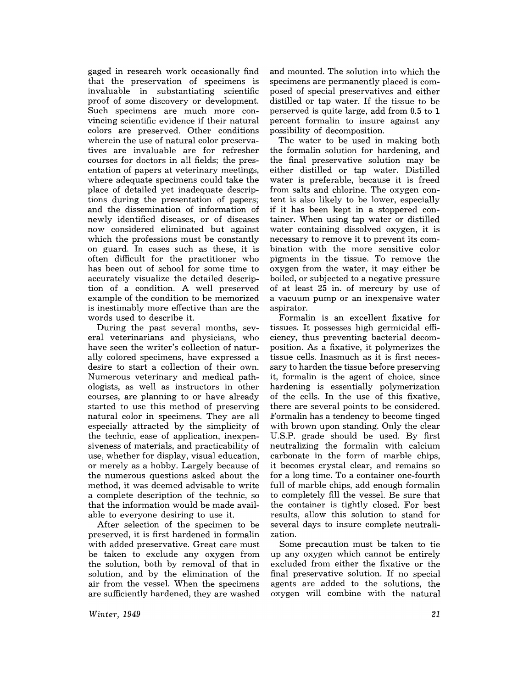gaged in research work occasionally find that the preservation of specimens is invaluable in substantiating scientific proof of some discovery or development. Such specimens are much more convincing scientific evidence if their natural colors are preserved. Other conditions wherein the use of natural color preservatives are invaluable are for refresher courses for doctors in all fields; the presentation of papers at veterinary meetings, where adequate specimens could take the place of detailed yet inadequate descriptions during the presentation of papers; and the dissemination of information of newly identified diseases, or of diseases now considered eliminated but against which the professions must be constantly on guard. In cases such as these, it is often difficult for the practitioner who has been out of school for some time to accurately visualize the detailed description of a condition. A well preserved example of the condition to be memorized is inestimably more effective than are the words used to describe it.

During the past several months, several veterinarians and physicians, who have seen the writer's collection of naturally colored specimens, have expressed a desire to start a collection of their own. Numerous veterinary and medical pathologists, as well as instructors in other courses, are planning to or have already started to use this method of preserving natural color in specimens. They are all especially attracted by the simplicity of the technic, ease of application, inexpensiveness of materials, and practicability of use, whether for display, visual education, or merely as a hobby. Largely because of the numerous questions asked about the method, it was deemed advisable to write a complete description of the technic, so that the information would be made available to everyone desiring to use it.

After selection of the specimen to be preserved, it is first hardened in formalin with added preservative. Great care must be taken to exclude any oxygen from the solution, both by removal of that in solution, and by the elimination of the air from the vessel. When the specimens are sufficiently hardened, they are washed

and mounted. The solution into which the specimens are permanently placed is composed of special preservatives and either distilled or tap water. If the tissue to be perserved is quite large, add from 0.5 to 1 percent formalin to insure against any possibility of decomposition.

The water to be used in making both the formalin solution for hardening, and the final preservative solution may be either distilled or tap water. Distilled water is preferable, because it is freed from salts and chlorine. The oxygen content is also likely to be lower, especially if it has been kept in a stoppered container. When using tap water or distilled water containing dissolved oxygen, it is necessary to remove it to prevent its combination with the more sensitive color pigments in the tissue. To remove the oxygen from the water, it may either be boiled, or subjected to a negative pressure of at least 25 in. of mercury by use of a vacuum pump or an inexpensive water aspirator.

Formalin is an excellent fixative for tissues. It possesses high germicidal efficiency, thus preventing bacterial decomposition. As a fixative, it polymerizes the tissue cells. Inasmuch as it is first necessary to harden the tissue before preserving it, formalin is the agent of choice, since hardening is essentially polymerization of the cells. In the use of this fixative, there are several points to be considered. Formalin has a tendency to become tinged with brown upon standing. Only the clear U.S.P. grade should be used. By first neutralizing the formalin with calcium carbonate in the form of marble chips, it becomes crystal clear, and remains so for a long time. To a container one-fourth full of marble chips, add enough formalin to completely fill the vesseL Be sure that the container is tightly closed. For best results, allow this solution to stand for several days to insure complete neutralization.

Some precaution must be taken to tie up any oxygen which cannot be entirely excluded from either the fixative or the final preservative solution. If no special agents are added to the solutions, the oxygen will combine with the natural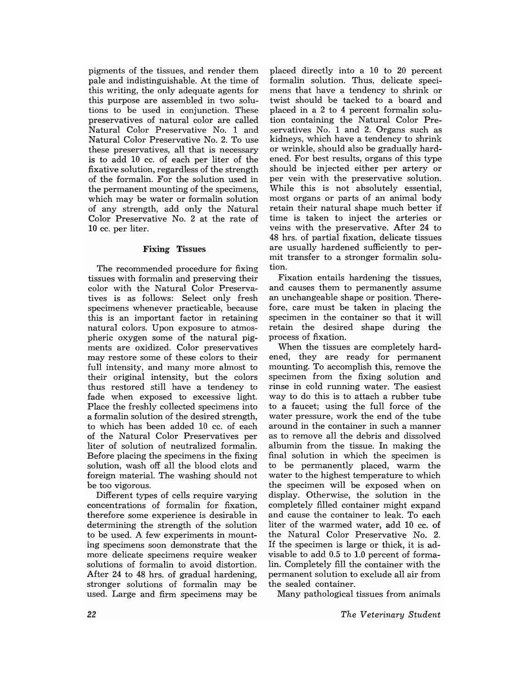pigments of the tissues, and render them pale and indistinguishable. At the time of this writing, the only adequate agents for this purpose are assembled in two solutions to be used in conjunction. These preservatives of natural color are called Natural Color Preservative No. 1 and Natural Color Preservative No.2. To use these preservatives, all that is necessary is to add 10 cc. of each per liter of the fixative solution, regardless of the strength of the formalin. For the solution used in the permanent mounting of the specimens, which may be water or formalin solution of any strength, add only the Natural Color Preservative No. 2 at the rate of 10 cc. per liter.

## **Fixing** Tissues

The recommended procedure for fixing tissues with formalin and preserving their color with the Natural Color Preservatives is as follows: Select only fresh specimens whenever practicable, because this is an important factor in retaining natural colors. Upon exposure to atmospheric oxygen some of the natural pigments are oxidized. Color preservatives may restore some of these colors to their full intensity, and many more almost to their original intensity, but the colors thus restored still have a tendency to fade when exposed to excessive light. Place the freshly collected specimens into a formalin solution of the desired strength, to which has been added 10 cc. of each of the Natural Color Preservatives per liter of solution of neutralized formalin. Before placing the specimens in the fixing solution, wash off all the blood clots and foreign material. The washing should not be too vigorous.

Different types of cells require varying concentrations of formalin for fixation, therefore some experience is desirable in determining the strength of the solution to be used. A few experiments in mounting specimens soon demonstrate that the more delicate specimens require weaker solutions of formalin to avoid distortion. After 24 to 48 hrs. of gradual hardening, stronger solutions of formalin may be used. Large and firm specimens may be

placed directly into a 10 to 20 percent formalin solution. Thus, delicate specimens that have a tendency to shrink or twist should be tacked to a board and placed in a 2 to 4 percent formalin solution containing the Natural Color Preservatives No. 1 and 2. Organs such as kidneys, which have a tendency to shrink or wrinkle, should also be gradually hardened. For best results, organs of this type should be injected either per artery or per vein with the preservative solution. While this is not absolutely essential, most organs or parts of an animal body retain their natural shape much better if time is taken to inject the arteries or veins with the preservative. After 24 to 48 hrs. of partial fixation, delicate tissues are usually hardened sufficiently to permit transfer to a stronger formalin solution.

Fixation entails hardening the tissues, and causes them to permanently assume an unchangeable shape or position. Therefore, care must be taken in placing the specimen in the container so that it will retain the desired shape during the process of fixation.

When the tissues are completely hardened, they are ready for permanent mounting. To accomplish this, remove the specimen from the fixing solution and rinse in cold running water. The easiest way to do this is to attach a rubber tube to a faucet; using the full force of the water pressure, work the end of the tube around in the container in such a manner as to remove all the debris and dissolved albumin from the tissue. In making the final solution in which the specimen is to be permanently placed, warm the water to the highest temperature to which the specimen will be exposed when on display. Otherwise, the solution in the completely filled container might expand and cause the container to leak. To each liter of the warmed water, add 10 cc. of the Natural Color Preservative No. 2. If the specimen is large or thick, it is advisable to add 0.5 to 1.0 percent of formalin. Completely fill the container with the permanent solution to exclude all air from the sealed container.

Many pathological tissues from animals

*The Veterinary Student*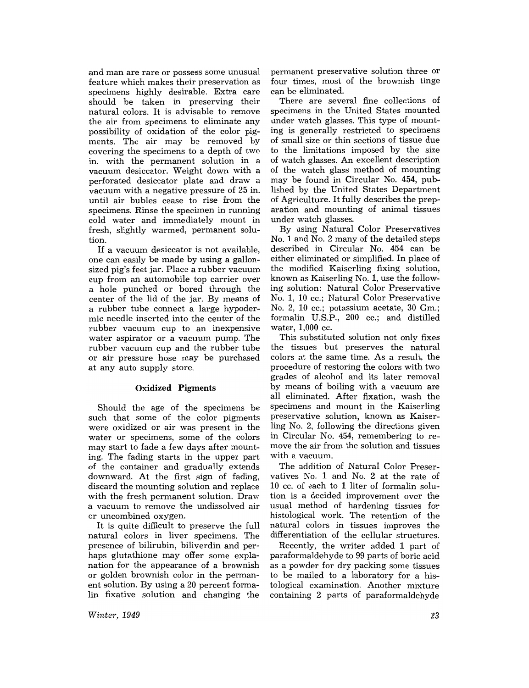and man are rare or possess some unusual feature which makes their preservation as specimens highly desirable. Extra care should be taken in preserving their natural colors. It is advisable to remove the air from specimens to eliminate any possibility of oxidation of the color pigments. The air may be removed by covering the specimens to a depth of two in. with the permanent solution in a vacuum desiccator. Weight down with a perforated desiccator plate and draw a vacuum with a negative pressure of 25 in. until air bubles cease to rise from the specimens. Rinse the specimen in running cold water and immediately mount in fresh, slightly warmed, permanent solution.

If a vacuum desiccator is not available, one can easily be made by using a gallonsized pig's feet jar. Place a rubber vacuum cup from an automobile top carrier over a hole punched or bored through the center of the lid of the jar. By means of a rubber tube connect a large hypodermic needle inserted into the center of the rubber vacuum cup to an inexpensive water aspirator or a vacuum pump. The rubber vacuum cup and the rubber tube or air pressure hose may be purchased at any auto supply store.

## **Oxidized Pigments**

Should the age of the specimens be such that some of the color pigments were oxidized or air was present in the water or specimens, some of the colors may start to fade a few days after mounting. The fading starts in the upper part of the container and gradually extends downward. At the first sign of fading, discard the mounting solution and replace with the fresh permanent solution. Draw a vacuum to remove the undissolved air or uncombined oxygen.

It is quite difficult to preserve the full natural colors in liver specimens. The presence of bilirubin, biliverdin and perhaps glutathione may offer some explanation for the appearance of a brownish or golden brownish color in the permanent solution. By using a 20 percent formalin fixative solution and changing the permanent preservative solution three or four times, most of the brownish tinge can be eliminated.

There are several fine collections of specimens in the United States mounted under watch glasses. This type of mounting is generally restricted to specimens of small size or thin sections of tissue due to the limitations imposed by the size of watch glasses. An excellent description of the watch glass method of mounting may be found in Circular No. 454, published by the United States Department of Agriculture. It fully describes the preparation and mounting of animal tissues under watch glasses.

By using Natural Color Preservatives No.1 and No.2 many of the detailed steps described in Circular No. 454 can be either eliminated or simplified. In place of the modified Kaiserling fixing solution, known as Kaiserling No.1, use the following solution: Natural Color Preservative No.1, 10 cc.; Natural Color Preservative No.2, 10 cc.; potassium acetate, 30 Gm.; formalin U.S.P., 200 cc.; and distilled water, 1,000 cc.

This substituted solution not only fixes the tissues but preserves the natural colors at the same time. As a result, the procedure of restoring the colors with two grades of alcohol and its later removal by means of boiling with a vacuum are all eliminated. After fixation, wash the specimens and mount in the Kaiserling preservative solution, known as Kaiserling No.2, following the directions given in Circular No. 454, remembering to remove the air from the solution and tissues with a vacuum.

The addition of Natural Color Preservatives No. 1 and No. 2 at the rate of 10 cc. of each to 1 liter of formalin solution is a decided improvement over the usual method of hardening tissues for histological work. The retention of the natural colors in tissues improves the differentiation of the cellular structures.

Recently, the writer added 1 part of paraformaldehyde to 99 parts of boric acid as a powder for dry packing some tissues to be mailed to a laboratory for a histological examination. Another mixture containing 2 parts of paraformaldehyde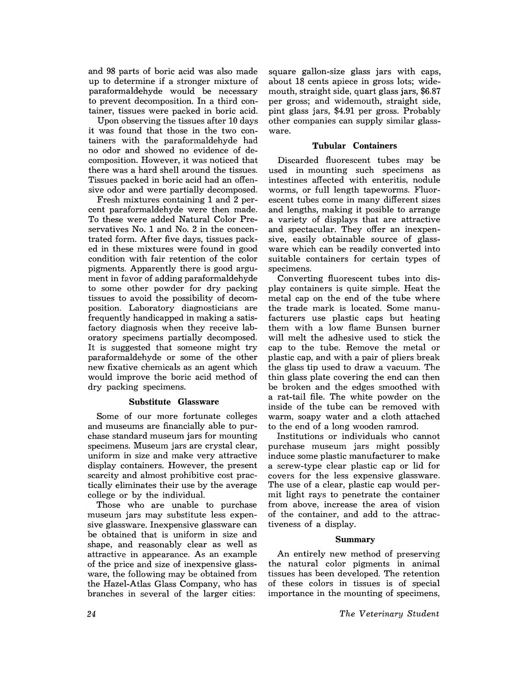and 98 parts of boric acid was also made up to determine if a stronger mixture of paraformaldehyde would be necessary to prevent decomposition. In a third container, tissues were packed in boric acid.

Upon observing the tissues after 10 days it was found that those in the two containers with the paraformaldehyde had no odor and showed no evidence of decomposition. However, it was noticed that there was a hard shell around the tissues. Tissues packed in boric acid had an offensive odor and were partially decomposed.

Fresh mixtures containing 1 and 2 percent paraformaldehyde were then made. To these were added Natural Color Preservatives No. 1 and No. 2 in the concentrated form. After five days, tissues packed in these mixtures were found in good condition with fair retention of the color pigments. Apparently there is good argument in favor of adding paraformaldehyde to some other powder for dry packing tissues to avoid the possibility of decomposition. Laboratory diagnosticians are frequently handicapped in making a satisfactory diagnosis when they receive laboratory specimens partially decomposed. It is suggested that someone might try paraformaldehyde or some of the other new fixative chemicals as an agent which would improve the boric acid method of dry packing specimens.

#### Substitute Glassware

Some of our more fortunate colleges and museums are financially able to purchase standard museum jars for mounting specimens. Museum jars are crystal clear, uniform in size and make very attractive display containers. However, the present scarcity and almost prohibitive cost practically eliminates their use by the average college or by the jndividual.

Those who are unable to purchase museum jars may substitute less expensive glassware. Inexpensive glassware can be obtained that is uniform in size and shape, and reasonably clear as well as attractive in appearance. As an example of the price and size of inexpensive glassware, the following may be obtained from the Hazel-Atlas Glass Company, who has branches in several of the larger cities:

square gallon-size glass jars with caps, about 18 cents apiece in gross lots; widemouth, straight side, quart glass jars, \$6.87 per gross; and widemouth, straight side, pint glass jars, \$4.91 per gross. Probably other companies can supply similar glassware.

#### Tubular Containers

Discarded fluorescent tubes may be used in mounting such specimens as intestines affected with enteritis, nodule worms, or full length tapeworms. Fluorescent tubes come in many different sizes and lengths, making it posible to arrange a variety of displays that are attractive and spectacular. They offer an inexpensive, easily obtainable source of glassware which can be readily converted into suitable containers for certain types of specimens.

Converting fluorescent tubes into display containers is quite simple. Heat the metal cap on the end of the tube where the trade mark is located. Some manufacturers use plastic caps but heating them with a low flame Bunsen burner will melt the adhesive used to stick the cap to the tube. Remove the metal or plastic cap, and with a pair of pliers .break the glass tip used to draw a vacuum. The thin glass plate covering the end can then be broken and the edges smoothed with a rat-tail file. The white powder on the inside of the tube can be removed with warm, soapy water and a cloth attached to the end of a long wooden ramrod.

Institutions or individuals who cannot purchase museum jars might possibly induce some plastic manufacturer to make a screw-type clear plastic cap or lid for covers for the less expensive glassware. The use of a clear, plastic cap would permit light rays to penetrate the container from above, increase the area of vision of the container, and add to the attractiveness of a display.

#### Summary

An entirely new method of preserving the natural color pigments in animal tissues has been developed. The retention of these colors in tissues is of special importance in the mounting of specimens,